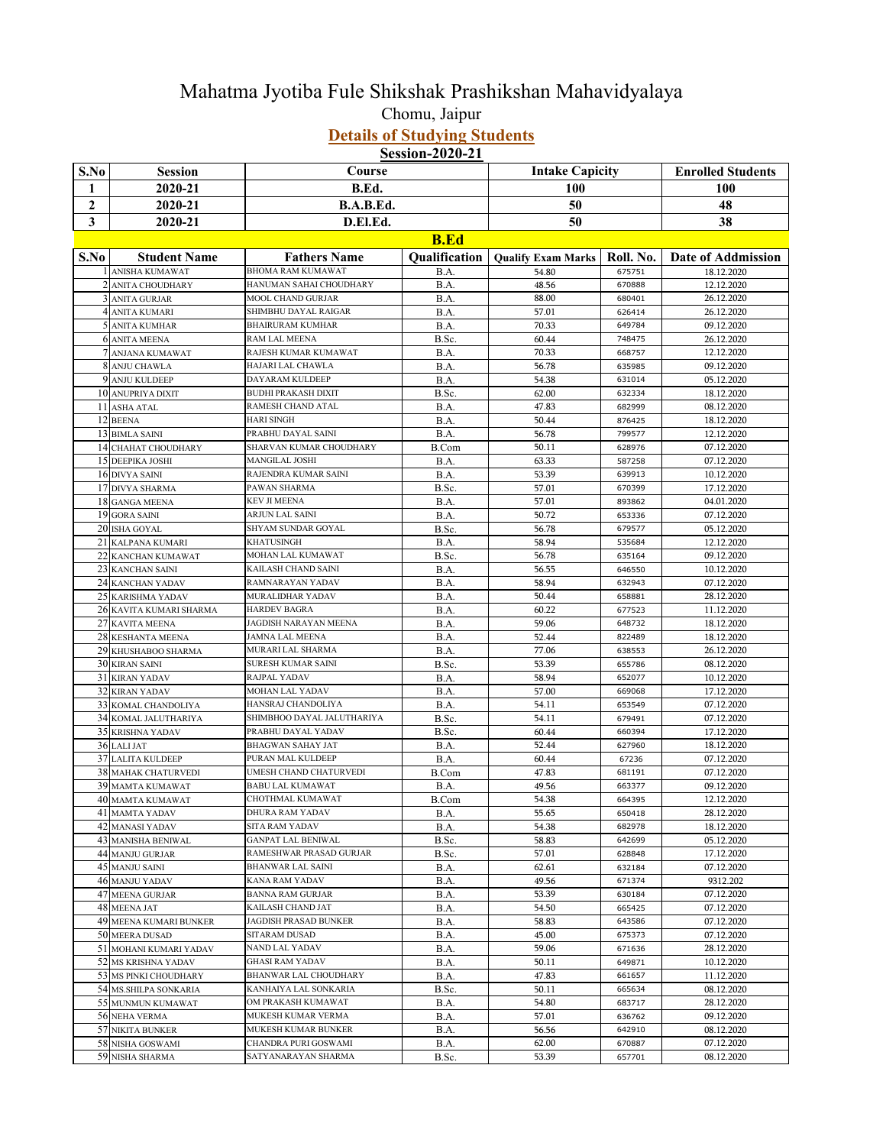## Mahatma Jyotiba Fule Shikshak Prashikshan Mahavidyalaya Chomu, Jaipur **Details of Studying Students**

**Session-2020-21**

| S.No             | <b>Session</b>                               | Course                                      |               | <b>Intake Capicity</b>    |                  | <b>Enrolled Students</b>  |
|------------------|----------------------------------------------|---------------------------------------------|---------------|---------------------------|------------------|---------------------------|
| 1                | 2020-21                                      | B.Ed.                                       |               | 100                       |                  | 100                       |
| $\boldsymbol{2}$ | 2020-21                                      | B.A.B.Ed.                                   |               | 50                        |                  | 48                        |
| 3                | 2020-21                                      | D.El.Ed.                                    |               | 50                        |                  | 38                        |
|                  |                                              |                                             |               |                           |                  |                           |
|                  |                                              |                                             | <b>B.Ed</b>   |                           |                  |                           |
| S.No             | <b>Student Name</b>                          | <b>Fathers Name</b>                         | Qualification | <b>Qualify Exam Marks</b> | Roll. No.        | <b>Date of Addmission</b> |
|                  | 1 ANISHA KUMAWAT                             | <b>BHOMA RAM KUMAWAT</b>                    | B.A.          | 54.80                     | 675751           | 18.12.2020                |
|                  | 2 ANITA CHOUDHARY                            | HANUMAN SAHAI CHOUDHARY                     | B.A.          | 48.56                     | 670888           | 12.12.2020                |
|                  | 3 ANITA GURJAR                               | MOOL CHAND GURJAR                           | B.A.          | 88.00                     | 680401           | 26.12.2020                |
|                  | 4 ANITA KUMARI                               | SHIMBHU DAYAL RAIGAR                        | B.A.          | 57.01                     | 626414           | 26.12.2020                |
|                  | 5 ANITA KUMHAR                               | <b>BHAIRURAM KUMHAR</b>                     | B.A.          | 70.33                     | 649784           | 09.12.2020                |
|                  | <b>6 ANITA MEENA</b>                         | RAM LAL MEENA                               | B.Sc.         | 60.44                     | 748475           | 26.12.2020                |
|                  | 7 ANJANA KUMAWAT<br>8 ANJU CHAWLA            | RAJESH KUMAR KUMAWAT<br>HAJARI LAL CHAWLA   | B.A.          | 70.33                     | 668757           | 12.12.2020<br>09.12.2020  |
|                  | 9 ANJU KULDEEP                               | DAYARAM KULDEEP                             | B.A.<br>B.A.  | 56.78<br>54.38            | 635985<br>631014 | 05.12.2020                |
|                  | 10 ANUPRIYA DIXIT                            | <b>BUDHI PRAKASH DIXIT</b>                  | B.Sc.         | 62.00                     | 632334           | 18.12.2020                |
|                  | 11 ASHA ATAL                                 | RAMESH CHAND ATAL                           | B.A.          | 47.83                     | 682999           | 08.12.2020                |
|                  | 12 BEENA                                     | <b>HARI SINGH</b>                           | B.A.          | 50.44                     | 876425           | 18.12.2020                |
|                  | 13 BIMLA SAINI                               | PRABHU DAYAL SAINI                          | B.A.          | 56.78                     | 799577           | 12.12.2020                |
|                  | 14 CHAHAT CHOUDHARY                          | SHARVAN KUMAR CHOUDHARY                     | <b>B.Com</b>  | 50.11                     | 628976           | 07.12.2020                |
|                  | 15 DEEPIKA JOSHI                             | MANGILAL JOSHI                              | B.A.          | 63.33                     | 587258           | 07.12.2020                |
|                  | 16 DIVYA SAINI                               | RAJENDRA KUMAR SAINI                        | B.A.          | 53.39                     | 639913           | 10.12.2020                |
|                  | 17 DIVYA SHARMA                              | PAWAN SHARMA                                | B.Sc.         | 57.01                     | 670399           | 17.12.2020                |
|                  | 18 GANGA MEENA                               | <b>KEV JI MEENA</b>                         | B.A.          | 57.01                     | 893862           | 04.01.2020                |
|                  | 19 GORA SAINI                                | <b>ARJUN LAL SAINI</b>                      | B.A.          | 50.72                     | 653336           | 07.12.2020                |
|                  | 20 ISHA GOYAL                                | SHYAM SUNDAR GOYAL                          | B.Sc.         | 56.78                     | 679577           | 05.12.2020                |
|                  | 21 KALPANA KUMARI                            | <b>KHATUSINGH</b>                           | B.A.          | 58.94                     | 535684           | 12.12.2020                |
|                  | 22 KANCHAN KUMAWAT                           | MOHAN LAL KUMAWAT                           | B.Sc.         | 56.78                     | 635164           | 09.12.2020                |
|                  | 23 KANCHAN SAINI                             | KAILASH CHAND SAINI                         | B.A.          | 56.55                     | 646550           | 10.12.2020                |
|                  | 24 KANCHAN YADAV                             | RAMNARAYAN YADAV<br>MURALIDHAR YADAV        | B.A.          | 58.94<br>50.44            | 632943           | 07.12.2020                |
|                  | 25 KARISHMA YADAV<br>26 KAVITA KUMARI SHARMA | <b>HARDEV BAGRA</b>                         | B.A.<br>B.A.  | 60.22                     | 658881<br>677523 | 28.12.2020<br>11.12.2020  |
|                  | 27 KAVITA MEENA                              | JAGDISH NARAYAN MEENA                       | B.A.          | 59.06                     | 648732           | 18.12.2020                |
|                  | 28 KESHANTA MEENA                            | JAMNA LAL MEENA                             | B.A.          | 52.44                     | 822489           | 18.12.2020                |
|                  | 29 KHUSHABOO SHARMA                          | MURARI LAL SHARMA                           | B.A.          | 77.06                     | 638553           | 26.12.2020                |
|                  | <b>30 KIRAN SAINI</b>                        | SURESH KUMAR SAINI                          | B.Sc.         | 53.39                     | 655786           | 08.12.2020                |
|                  | 31 KIRAN YADAV                               | RAJPAL YADAV                                | B.A.          | 58.94                     | 652077           | 10.12.2020                |
|                  | <b>32 KIRAN YADAV</b>                        | MOHAN LAL YADAV                             | B.A.          | 57.00                     | 669068           | 17.12.2020                |
|                  | <b>33 KOMAL CHANDOLIYA</b>                   | HANSRAJ CHANDOLIYA                          | B.A.          | 54.11                     | 653549           | 07.12.2020                |
|                  | 34 KOMAL JALUTHARIYA                         | SHIMBHOO DAYAL JALUTHARIYA                  | B.Sc.         | 54.11                     | 679491           | 07.12.2020                |
|                  | <b>35 KRISHNA YADAV</b>                      | PRABHU DAYAL YADAV                          | B.Sc.         | 60.44                     | 660394           | 17.12.2020                |
|                  | 36 LALI JAT                                  | <b>BHAGWAN SAHAY JAT</b>                    | B.A.          | 52.44                     | 627960           | 18.12.2020                |
|                  | <b>37 LALITA KULDEEP</b>                     | PURAN MAL KULDEEP                           | B.A.          | 60.44                     | 67236            | 07.12.2020                |
|                  | <b>38 MAHAK CHATURVEDI</b>                   | UMESH CHAND CHATURVEDI                      | B.Com         | 47.83                     | 681191           | 07.12.2020                |
|                  | 39 MAMTA KUMAWAT                             | <b>BABU LAL KUMAWAT</b>                     | B.A.          | 49.56                     | 663377           | 09.12.2020                |
|                  | 40 MAMTA KUMAWAT<br>41 MAMTA YADAV           | CHOTHMAL KUMAWAT<br>DHURA RAM YADAV         | B.Com         | 54.38                     | 664395           | 12.12.2020                |
|                  | 42 MANASI YADAV                              | SITA RAM YADAV                              | B.A.          | 55.65                     | 650418<br>682978 | 28.12.2020<br>18.12.2020  |
|                  | 43 MANISHA BENIWAL                           | GANPAT LAL BENIWAL                          | B.A.<br>B.Sc. | 54.38<br>58.83            | 642699           | 05.12.2020                |
|                  | 44 MANJU GURJAR                              | RAMESHWAR PRASAD GURJAR                     | B.Sc.         | 57.01                     | 628848           | 17.12.2020                |
|                  | 45 MANJU SAINI                               | <b>BHANWAR LAL SAINI</b>                    | B.A.          | 62.61                     | 632184           | 07.12.2020                |
|                  | 46 MANJU YADAV                               | KANA RAM YADAV                              | B.A.          | 49.56                     | 671374           | 9312.202                  |
|                  | 47 MEENA GURJAR                              | <b>BANNA RAM GURJAR</b>                     | B.A.          | 53.39                     | 630184           | 07.12.2020                |
|                  | 48 MEENA JAT                                 | KAILASH CHAND JAT                           | B.A.          | 54.50                     | 665425           | 07.12.2020                |
|                  | 49 MEENA KUMARI BUNKER                       | <b>JAGDISH PRASAD BUNKER</b>                | B.A.          | 58.83                     | 643586           | 07.12.2020                |
|                  | 50 MEERA DUSAD                               | SITARAM DUSAD                               | B.A.          | 45.00                     | 675373           | 07.12.2020                |
|                  | 51 MOHANI KUMARI YADAV                       | NAND LAL YADAV                              | B.A.          | 59.06                     | 671636           | 28.12.2020                |
|                  | 52 MS KRISHNA YADAV                          | <b>GHASI RAM YADAV</b>                      | B.A.          | 50.11                     | 649871           | 10.12.2020                |
|                  | 53 MS PINKI CHOUDHARY                        | BHANWAR LAL CHOUDHARY                       | B.A.          | 47.83                     | 661657           | 11.12.2020                |
|                  | 54 MS.SHILPA SONKARIA                        | KANHAIYA LAL SONKARIA                       | B.Sc.         | 50.11                     | 665634           | 08.12.2020                |
|                  | 55 MUNMUN KUMAWAT                            | OM PRAKASH KUMAWAT                          | B.A.          | 54.80                     | 683717           | 28.12.2020                |
|                  | 56 NEHA VERMA                                | MUKESH KUMAR VERMA                          | B.A.          | 57.01                     | 636762           | 09.12.2020                |
|                  | 57 NIKITA BUNKER                             | MUKESH KUMAR BUNKER                         | B.A.          | 56.56                     | 642910           | 08.12.2020                |
|                  | 58 NISHA GOSWAMI<br>59 NISHA SHARMA          | CHANDRA PURI GOSWAMI<br>SATYANARAYAN SHARMA | B.A.          | 62.00<br>53.39            | 670887<br>657701 | 07.12.2020                |
|                  |                                              |                                             | B.Sc.         |                           |                  | 08.12.2020                |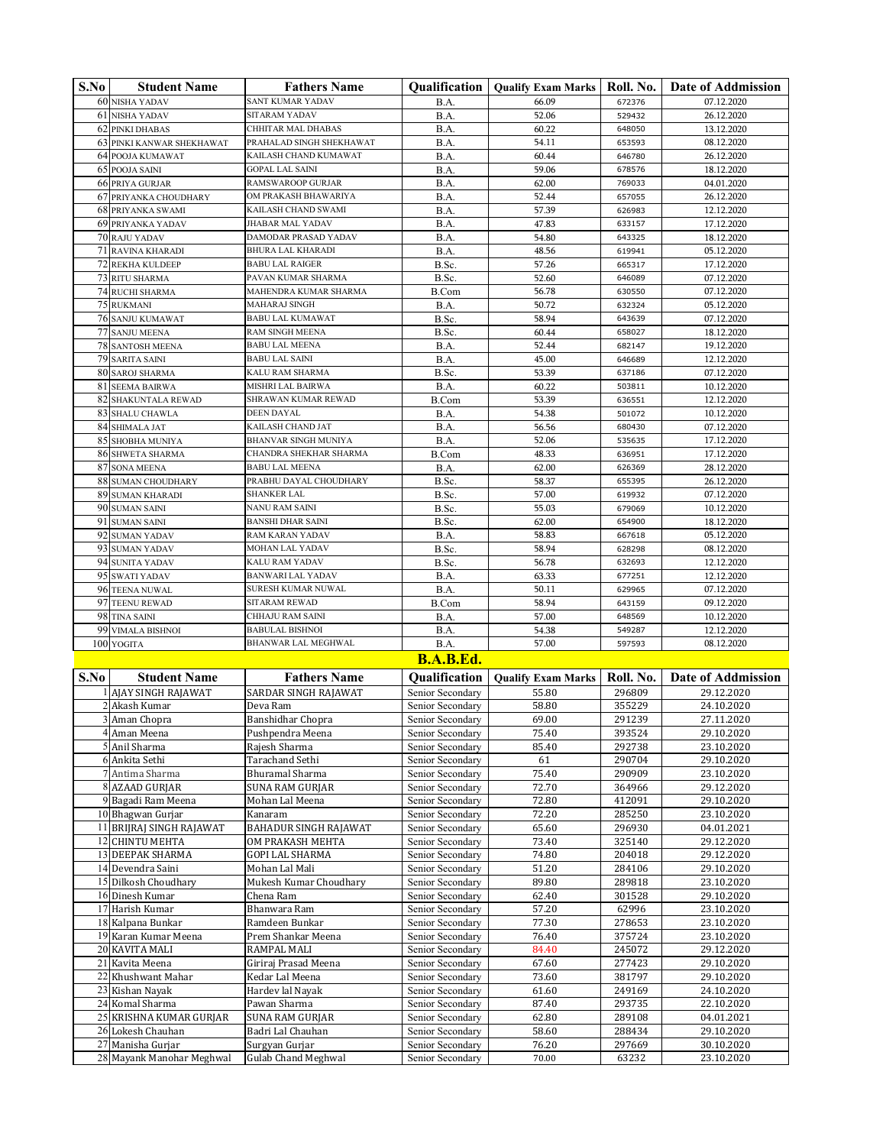| S.No | <b>Student Name</b>                       | <b>Fathers Name</b>                               | <b>Qualification</b>                 | <b>Qualify Exam Marks</b> | Roll. No.        | <b>Date of Addmission</b> |
|------|-------------------------------------------|---------------------------------------------------|--------------------------------------|---------------------------|------------------|---------------------------|
|      | <b>60 NISHA YADAV</b>                     | <b>SANT KUMAR YADAV</b>                           | B.A.                                 | 66.09                     | 672376           | 07.12.2020                |
|      | 61 NISHA YADAV                            | <b>SITARAM YADAV</b>                              | B.A.                                 | 52.06                     | 529432           | 26.12.2020                |
|      | 62 PINKI DHABAS                           | CHHITAR MAL DHABAS                                | B.A.                                 | 60.22                     | 648050           | 13.12.2020                |
|      | 63 PINKI KANWAR SHEKHAWAT                 | PRAHALAD SINGH SHEKHAWAT<br>KAILASH CHAND KUMAWAT | B.A.                                 | 54.11                     | 653593           | 08.12.2020                |
|      | 64 POOJA KUMAWAT<br>65 POOJA SAINI        | <b>GOPAL LAL SAINI</b>                            | B.A.<br>B.A.                         | 60.44<br>59.06            | 646780<br>678576 | 26.12.2020<br>18.12.2020  |
|      | <b>66 PRIYA GURJAR</b>                    | <b>RAMSWAROOP GURJAR</b>                          | B.A.                                 | 62.00                     | 769033           | 04.01.2020                |
|      | 67 PRIYANKA CHOUDHARY                     | OM PRAKASH BHAWARIYA                              | B.A.                                 | 52.44                     | 657055           | 26.12.2020                |
|      | <b>68 PRIYANKA SWAMI</b>                  | KAILASH CHAND SWAMI                               | B.A.                                 | 57.39                     | 626983           | 12.12.2020                |
|      | 69 PRIYANKA YADAV                         | <b>JHABAR MAL YADAV</b>                           | B.A.                                 | 47.83                     | 633157           | 17.12.2020                |
|      | 70 RAJU YADAV                             | <b>DAMODAR PRASAD YADAV</b>                       | B.A.                                 | 54.80                     | 643325           | 18.12.2020                |
|      | 71 RAVINA KHARADI                         | <b>BHURA LAL KHARADI</b>                          | B.A.                                 | 48.56                     | 619941           | 05.12.2020                |
|      | <b>72 REKHA KULDEEP</b>                   | <b>BABU LAL RAIGER</b>                            | B.Sc.                                | 57.26                     | 665317           | 17.12.2020                |
|      | 73 RITU SHARMA                            | PAVAN KUMAR SHARMA<br>MAHENDRA KUMAR SHARMA       | B.Sc.                                | 52.60<br>56.78            | 646089<br>630550 | 07.12.2020<br>07.12.2020  |
|      | <b>74 RUCHI SHARMA</b><br>75 RUKMANI      | <b>MAHARAJ SINGH</b>                              | B.Com<br>B.A.                        | 50.72                     | 632324           | 05.12.2020                |
|      | <b>76 SANJU KUMAWAT</b>                   | <b>BABU LAL KUMAWAT</b>                           | B.Sc.                                | 58.94                     | 643639           | 07.12.2020                |
|      | 77 SANJU MEENA                            | RAM SINGH MEENA                                   | B.Sc.                                | 60.44                     | 658027           | 18.12.2020                |
|      | <b>78 SANTOSH MEENA</b>                   | <b>BABU LAL MEENA</b>                             | B.A.                                 | 52.44                     | 682147           | 19.12.2020                |
|      | 79 SARITA SAINI                           | <b>BABU LAL SAINI</b>                             | B.A.                                 | 45.00                     | 646689           | 12.12.2020                |
|      | 80 SAROJ SHARMA                           | KALU RAM SHARMA                                   | B.Sc.                                | 53.39                     | 637186           | 07.12.2020                |
|      | 81 SEEMA BAIRWA                           | MISHRI LAL BAIRWA                                 | B.A.                                 | 60.22                     | 503811           | 10.12.2020                |
|      | 82 SHAKUNTALA REWAD                       | SHRAWAN KUMAR REWAD                               | B.Com                                | 53.39                     | 636551           | 12.12.2020                |
|      | 83 SHALU CHAWLA<br>84 SHIMALA JAT         | <b>DEEN DAYAL</b><br>KAILASH CHAND JAT            | B.A.<br>B.A.                         | 54.38<br>56.56            | 501072<br>680430 | 10.12.2020<br>07.12.2020  |
|      | 85 SHOBHA MUNIYA                          | BHANVAR SINGH MUNIYA                              | B.A.                                 | 52.06                     | 535635           | 17.12.2020                |
|      | 86 SHWETA SHARMA                          | CHANDRA SHEKHAR SHARMA                            | B.Com                                | 48.33                     | 636951           | 17.12.2020                |
|      | 87 SONA MEENA                             | <b>BABU LAL MEENA</b>                             | B.A.                                 | 62.00                     | 626369           | 28.12.2020                |
|      | 88 SUMAN CHOUDHARY                        | PRABHU DAYAL CHOUDHARY                            | B.Sc.                                | 58.37                     | 655395           | 26.12.2020                |
|      | 89 SUMAN KHARADI                          | SHANKER LAL                                       | B.Sc.                                | 57.00                     | 619932           | 07.12.2020                |
|      | 90 SUMAN SAINI                            | <b>NANU RAM SAINI</b>                             | B.Sc.                                | 55.03                     | 679069           | 10.12.2020                |
|      | 91 SUMAN SAINI                            | <b>BANSHI DHAR SAINI</b>                          | B.Sc.                                | 62.00                     | 654900           | 18.12.2020                |
|      | 92 SUMAN YADAV                            | RAM KARAN YADAV                                   | B.A.                                 | 58.83                     | 667618           | 05.12.2020                |
|      | 93 SUMAN YADAV<br>94 SUNITA YADAV         | MOHAN LAL YADAV<br>KALU RAM YADAV                 | B.Sc.                                | 58.94<br>56.78            | 628298<br>632693 | 08.12.2020<br>12.12.2020  |
|      | 95 SWATI YADAV                            | <b>BANWARI LAL YADAV</b>                          | B.Sc.<br>B.A.                        | 63.33                     | 677251           | 12.12.2020                |
|      | 96 TEENA NUWAL                            | SURESH KUMAR NUWAL                                | B.A.                                 | 50.11                     | 629965           | 07.12.2020                |
|      | 97 TEENU REWAD                            | SITARAM REWAD                                     | B.Com                                | 58.94                     | 643159           | 09.12.2020                |
|      | 98 TINA SAINI                             | CHHAJU RAM SAINI                                  | B.A.                                 | 57.00                     | 648569           | 10.12.2020                |
|      | 99 VIMALA BISHNOI                         | <b>BABULAL BISHNOI</b>                            | B.A.                                 | 54.38                     | 549287           | 12.12.2020                |
|      | 100 YOGITA                                | BHANWAR LAL MEGHWAL                               | B.A.                                 | 57.00                     | 597593           | 08.12.2020                |
|      |                                           |                                                   | <b>B.A.B.Ed.</b>                     |                           |                  |                           |
| S.No | <b>Student Name</b>                       | <b>Fathers Name</b>                               | Qualification                        | <b>Qualify Exam Marks</b> | Roll. No.        | <b>Date of Addmission</b> |
|      | 1 AJAY SINGH RAJAWAT                      | SARDAR SINGH RAJAWAT                              | Senior Secondary                     | 55.80                     | 296809           | 29.12.2020                |
|      | 2 Akash Kumar                             | Deva Ram                                          | Senior Secondary                     | 58.80                     | 355229           | 24.10.2020                |
|      | 3 Aman Chopra                             | Banshidhar Chopra                                 | Senior Secondary                     | 69.00                     | 291239           | 27.11.2020                |
|      | 4 Aman Meena                              | Pushpendra Meena                                  | Senior Secondary                     | 75.40                     | 393524           | 29.10.2020                |
|      | 5 Anil Sharma<br>6 Ankita Sethi           | Rajesh Sharma<br>Tarachand Sethi                  | Senior Secondary                     | 85.40                     | 292738<br>290704 | 23.10.2020                |
|      | 7 Antima Sharma                           | <b>Bhuramal Sharma</b>                            | Senior Secondary<br>Senior Secondary | 61<br>75.40               | 290909           | 29.10.2020<br>23.10.2020  |
|      | 8 AZAAD GURJAR                            | SUNA RAM GURJAR                                   | Senior Secondary                     | 72.70                     | 364966           | 29.12.2020                |
|      | 9 Bagadi Ram Meena                        | Mohan Lal Meena                                   | Senior Secondary                     | 72.80                     | 412091           | 29.10.2020                |
|      | 10 Bhagwan Gurjar                         | Kanaram                                           | Senior Secondary                     | 72.20                     | 285250           | 23.10.2020                |
|      | 11 BRIJRAJ SINGH RAJAWAT                  | BAHADUR SINGH RAJAWAT                             | Senior Secondary                     | 65.60                     | 296930           | 04.01.2021                |
|      | 12 CHINTU MEHTA                           | OM PRAKASH MEHTA                                  | Senior Secondary                     | 73.40                     | 325140           | 29.12.2020                |
|      | <b>13 DEEPAK SHARMA</b>                   | GOPI LAL SHARMA                                   | Senior Secondary                     | 74.80                     | 204018           | 29.12.2020                |
|      | 14 Devendra Saini<br>15 Dilkosh Choudhary | Mohan Lal Mali<br>Mukesh Kumar Choudhary          | Senior Secondary<br>Senior Secondary | 51.20<br>89.80            | 284106<br>289818 | 29.10.2020<br>23.10.2020  |
|      | 16 Dinesh Kumar                           | Chena Ram                                         | Senior Secondary                     | 62.40                     | 301528           | 29.10.2020                |
|      | 17 Harish Kumar                           | Bhanwara Ram                                      | Senior Secondary                     | 57.20                     | 62996            | 23.10.2020                |
|      | 18 Kalpana Bunkar                         | Ramdeen Bunkar                                    | Senior Secondary                     | 77.30                     | 278653           | 23.10.2020                |
|      | 19 Karan Kumar Meena                      | Prem Shankar Meena                                | Senior Secondary                     | 76.40                     | 375724           | 23.10.2020                |
|      | 20 KAVITA MALI                            | RAMPAL MALI                                       | Senior Secondary                     | 84.40                     | 245072           | 29.12.2020                |
|      | 21 Kavita Meena                           | Giriraj Prasad Meena                              | Senior Secondary                     | 67.60                     | 277423           | 29.10.2020                |
|      | 22 Khushwant Mahar                        | Kedar Lal Meena                                   | Senior Secondary                     | 73.60                     | 381797           | 29.10.2020                |
|      | 23 Kishan Nayak<br>24 Komal Sharma        | Hardev lal Nayak<br>Pawan Sharma                  | Senior Secondary<br>Senior Secondary | 61.60<br>87.40            | 249169<br>293735 | 24.10.2020<br>22.10.2020  |
|      | 25 KRISHNA KUMAR GURJAR                   | SUNA RAM GURJAR                                   | Senior Secondary                     | 62.80                     | 289108           | 04.01.2021                |
|      | 26 Lokesh Chauhan                         | Badri Lal Chauhan                                 | Senior Secondary                     | 58.60                     | 288434           | 29.10.2020                |
|      | 27 Manisha Gurjar                         | Surgyan Gurjar                                    | Senior Secondary                     | 76.20                     | 297669           | 30.10.2020                |
|      | 28 Mayank Manohar Meghwal                 | <b>Gulab Chand Meghwal</b>                        | Senior Secondary                     | 70.00                     | 63232            | 23.10.2020                |